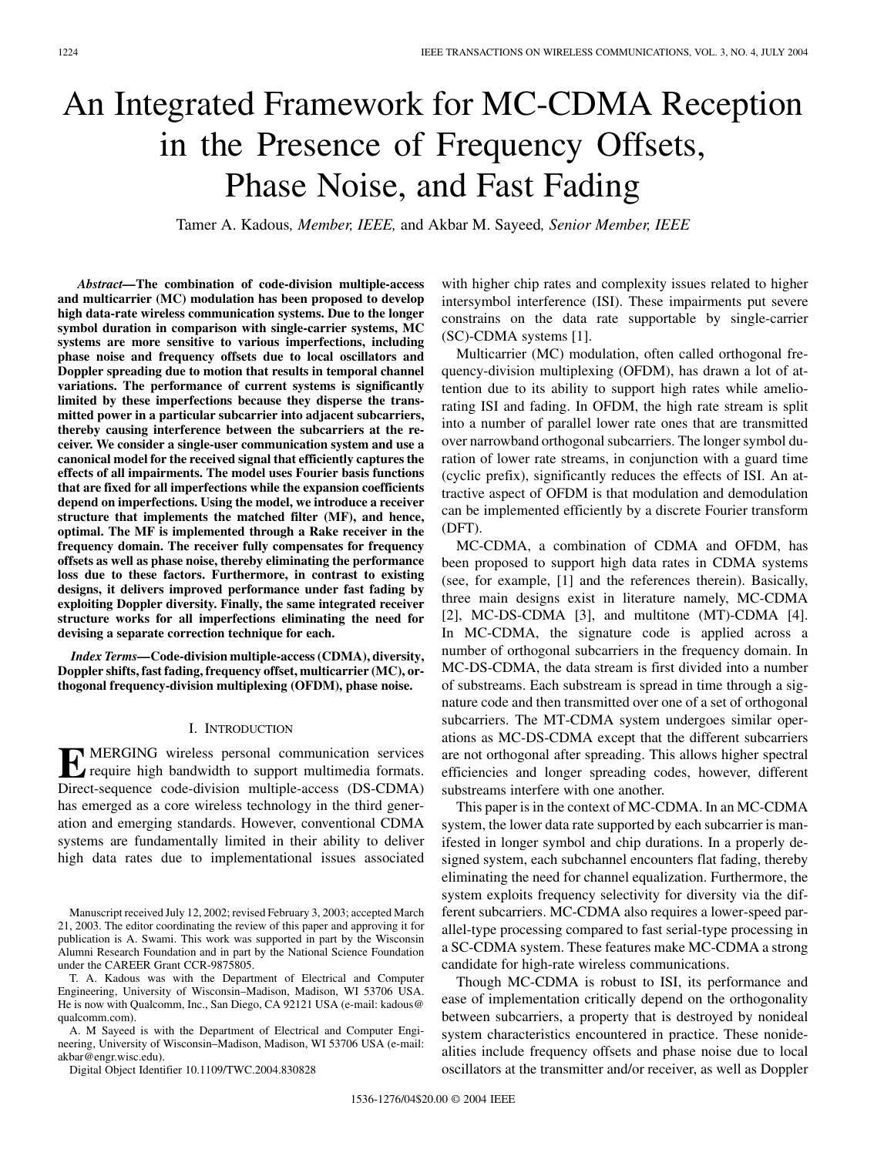# An Integrated Framework for MC-CDMA Reception in the Presence of Frequency Offsets, Phase Noise, and Fast Fading

Tamer A. Kadous*, Member, IEEE,* and Akbar M. Sayeed*, Senior Member, IEEE*

*Abstract—***The combination of code-division multiple-access and multicarrier (MC) modulation has been proposed to develop high data-rate wireless communication systems. Due to the longer symbol duration in comparison with single-carrier systems, MC systems are more sensitive to various imperfections, including phase noise and frequency offsets due to local oscillators and Doppler spreading due to motion that results in temporal channel variations. The performance of current systems is significantly limited by these imperfections because they disperse the transmitted power in a particular subcarrier into adjacent subcarriers, thereby causing interference between the subcarriers at the receiver. We consider a single-user communication system and use a canonical model for the received signal that efficiently captures the effects of all impairments. The model uses Fourier basis functions that are fixed for all imperfections while the expansion coefficients depend on imperfections. Using the model, we introduce a receiver structure that implements the matched filter (MF), and hence, optimal. The MF is implemented through a Rake receiver in the frequency domain. The receiver fully compensates for frequency offsets as well as phase noise, thereby eliminating the performance loss due to these factors. Furthermore, in contrast to existing designs, it delivers improved performance under fast fading by exploiting Doppler diversity. Finally, the same integrated receiver structure works for all imperfections eliminating the need for devising a separate correction technique for each.**

*Index Terms—***Code-division multiple-access(CDMA), diversity, Doppler shifts, fast fading, frequency offset, multicarrier (MC), orthogonal frequency-division multiplexing (OFDM), phase noise.**

## I. INTRODUCTION

**E** MERGING wireless personal communication services<br>require high bandwidth to support multimedia formats. Direct-sequence code-division multiple-access (DS-CDMA) has emerged as a core wireless technology in the third generation and emerging standards. However, conventional CDMA systems are fundamentally limited in their ability to deliver high data rates due to implementational issues associated

A. M Sayeed is with the Department of Electrical and Computer Engineering, University of Wisconsin–Madison, Madison, WI 53706 USA (e-mail: akbar@engr.wisc.edu).

Digital Object Identifier 10.1109/TWC.2004.830828

with higher chip rates and complexity issues related to higher intersymbol interference (ISI). These impairments put severe constrains on the data rate supportable by single-carrier (SC)-CDMA systems [[1\]](#page-10-0).

Multicarrier (MC) modulation, often called orthogonal frequency-division multiplexing (OFDM), has drawn a lot of attention due to its ability to support high rates while ameliorating ISI and fading. In OFDM, the high rate stream is split into a number of parallel lower rate ones that are transmitted over narrowband orthogonal subcarriers. The longer symbol duration of lower rate streams, in conjunction with a guard time (cyclic prefix), significantly reduces the effects of ISI. An attractive aspect of OFDM is that modulation and demodulation can be implemented efficiently by a discrete Fourier transform (DFT).

MC-CDMA, a combination of CDMA and OFDM, has been proposed to support high data rates in CDMA systems (see, for example, [[1\]](#page-10-0) and the references therein). Basically, three main designs exist in literature namely, MC-CDMA [[2\]](#page-10-0), MC-DS-CDMA [\[3](#page-10-0)], and multitone (MT)-CDMA [[4\]](#page-10-0). In MC-CDMA, the signature code is applied across a number of orthogonal subcarriers in the frequency domain. In MC-DS-CDMA, the data stream is first divided into a number of substreams. Each substream is spread in time through a signature code and then transmitted over one of a set of orthogonal subcarriers. The MT-CDMA system undergoes similar operations as MC-DS-CDMA except that the different subcarriers are not orthogonal after spreading. This allows higher spectral efficiencies and longer spreading codes, however, different substreams interfere with one another.

This paper is in the context of MC-CDMA. In an MC-CDMA system, the lower data rate supported by each subcarrier is manifested in longer symbol and chip durations. In a properly designed system, each subchannel encounters flat fading, thereby eliminating the need for channel equalization. Furthermore, the system exploits frequency selectivity for diversity via the different subcarriers. MC-CDMA also requires a lower-speed parallel-type processing compared to fast serial-type processing in a SC-CDMA system. These features make MC-CDMA a strong candidate for high-rate wireless communications.

Though MC-CDMA is robust to ISI, its performance and ease of implementation critically depend on the orthogonality between subcarriers, a property that is destroyed by nonideal system characteristics encountered in practice. These nonidealities include frequency offsets and phase noise due to local oscillators at the transmitter and/or receiver, as well as Doppler

Manuscript received July 12, 2002; revised February 3, 2003; accepted March 21, 2003. The editor coordinating the review of this paper and approving it for publication is A. Swami. This work was supported in part by the Wisconsin Alumni Research Foundation and in part by the National Science Foundation under the CAREER Grant CCR-9875805.

T. A. Kadous was with the Department of Electrical and Computer Engineering, University of Wisconsin–Madison, Madison, WI 53706 USA. He is now with Qualcomm, Inc., San Diego, CA 92121 USA (e-mail: kadous@ qualcomm.com).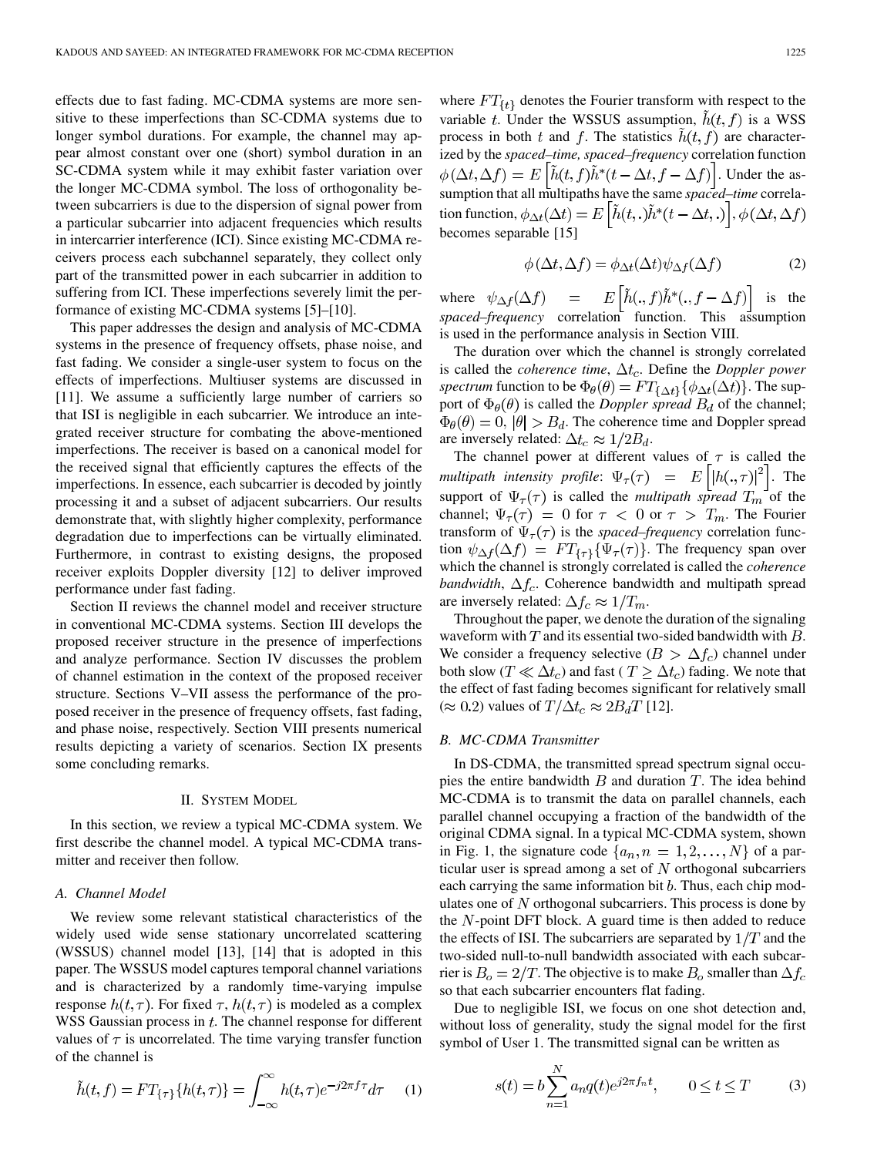effects due to fast fading. MC-CDMA systems are more sensitive to these imperfections than SC-CDMA systems due to longer symbol durations. For example, the channel may appear almost constant over one (short) symbol duration in an SC-CDMA system while it may exhibit faster variation over the longer MC-CDMA symbol. The loss of orthogonality between subcarriers is due to the dispersion of signal power from a particular subcarrier into adjacent frequencies which results in intercarrier interference (ICI). Since existing MC-CDMA receivers process each subchannel separately, they collect only part of the transmitted power in each subcarrier in addition to suffering from ICI. These imperfections severely limit the performance of existing MC-CDMA systems [[5\]](#page-10-0)–[[10\]](#page-10-0).

This paper addresses the design and analysis of MC-CDMA systems in the presence of frequency offsets, phase noise, and fast fading. We consider a single-user system to focus on the effects of imperfections. Multiuser systems are discussed in [\[11](#page-10-0)]. We assume a sufficiently large number of carriers so that ISI is negligible in each subcarrier. We introduce an integrated receiver structure for combating the above-mentioned imperfections. The receiver is based on a canonical model for the received signal that efficiently captures the effects of the imperfections. In essence, each subcarrier is decoded by jointly processing it and a subset of adjacent subcarriers. Our results demonstrate that, with slightly higher complexity, performance degradation due to imperfections can be virtually eliminated. Furthermore, in contrast to existing designs, the proposed receiver exploits Doppler diversity [[12\]](#page-10-0) to deliver improved performance under fast fading.

Section II reviews the channel model and receiver structure in conventional MC-CDMA systems. Section III develops the proposed receiver structure in the presence of imperfections and analyze performance. Section IV discusses the problem of channel estimation in the context of the proposed receiver structure. Sections V–VII assess the performance of the proposed receiver in the presence of frequency offsets, fast fading, and phase noise, respectively. Section VIII presents numerical results depicting a variety of scenarios. Section IX presents some concluding remarks.

#### II. SYSTEM MODEL

In this section, we review a typical MC-CDMA system. We first describe the channel model. A typical MC-CDMA transmitter and receiver then follow.

# *A. Channel Model*

We review some relevant statistical characteristics of the widely used wide sense stationary uncorrelated scattering (WSSUS) channel model [[13\]](#page-10-0), [[14\]](#page-10-0) that is adopted in this paper. The WSSUS model captures temporal channel variations and is characterized by a randomly time-varying impulse response  $h(t, \tau)$ . For fixed  $\tau$ ,  $h(t, \tau)$  is modeled as a complex WSS Gaussian process in  $t$ . The channel response for different values of  $\tau$  is uncorrelated. The time varying transfer function of the channel is

$$
\tilde{h}(t,f) = FT_{\{\tau\}}\{h(t,\tau)\} = \int_{-\infty}^{\infty} h(t,\tau)e^{-j2\pi f\tau}d\tau \tag{1}
$$

where  $FT_{\{t\}}$  denotes the Fourier transform with respect to the variable t. Under the WSSUS assumption,  $\hat{h}(t, f)$  is a WSS process in both t and f. The statistics  $\tilde{h}(t, f)$  are characterized by the *spaced–time, spaced–frequency* correlation function . Under the assumption that all multipaths have the same *spaced–time* correlation function,  $\phi_{\Delta t}(\Delta t) = E \left[ \tilde{h}(t,.) \tilde{h}^*(t - \Delta t,.) \right], \phi(\Delta t, \Delta f)$ becomes separable [[15\]](#page-11-0)

$$
\phi(\Delta t, \Delta f) = \phi_{\Delta t}(\Delta t) \psi_{\Delta f}(\Delta f)
$$
\n(2)

where  $\psi_{\Delta f}(\Delta f) = E[h(.,f)h^*(.,f-\Delta f)]$  is the *spaced–frequency* correlation function. This assumption is used in the performance analysis in Section VIII.

The duration over which the channel is strongly correlated is called the *coherence time*,  $\Delta t_c$ . Define the *Doppler power spectrum* function to be  $\Phi_{\theta}(\theta) = FT_{\{\Delta t\}}\{\phi_{\Delta t}(\Delta t)\}\.$  The support of  $\Phi_{\theta}(\theta)$  is called the *Doppler spread*  $B_d$  of the channel;  $\Phi_{\theta}(\theta) = 0$ ,  $|\theta| > B_d$ . The coherence time and Doppler spread are inversely related:  $\Delta t_c \approx 1/2B_d$ .

The channel power at different values of  $\tau$  is called the *multipath intensity profile:*  $\Psi_{\tau}(\tau) = E |h(., \tau)|^2$ . The support of  $\Psi_{\tau}(\tau)$  is called the *multipath spread*  $T_m$  of the channel;  $\Psi_{\tau}(\tau) = 0$  for  $\tau < 0$  or  $\tau > T_m$ . The Fourier transform of  $\Psi_{\tau}(\tau)$  is the *spaced–frequency* correlation function  $\psi_{\Delta f}(\Delta f) = FT_{\{\tau\}}\{\Psi_\tau(\tau)\}\$ . The frequency span over which the channel is strongly correlated is called the *coherence bandwidth*,  $\Delta f_c$ . Coherence bandwidth and multipath spread are inversely related:  $\Delta f_c \approx 1/T_m$ .

Throughout the paper, we denote the duration of the signaling waveform with  $T$  and its essential two-sided bandwidth with  $B$ . We consider a frequency selective  $(B > \Delta f_c)$  channel under both slow ( $T \ll \Delta t_c$ ) and fast ( $T \geq \Delta t_c$ ) fading. We note that the effect of fast fading becomes significant for relatively small  $(\approx 0.2)$  values of  $T/\Delta t_c \approx 2B_dT$  [[12\]](#page-10-0).

#### *B. MC-CDMA Transmitter*

In DS-CDMA, the transmitted spread spectrum signal occupies the entire bandwidth  $B$  and duration  $T$ . The idea behind MC-CDMA is to transmit the data on parallel channels, each parallel channel occupying a fraction of the bandwidth of the original CDMA signal. In a typical MC-CDMA system, shown in Fig. 1, the signature code  $\{a_n, n = 1, 2, \ldots, N\}$  of a particular user is spread among a set of  $N$  orthogonal subcarriers each carrying the same information bit  $b$ . Thus, each chip modulates one of  $N$  orthogonal subcarriers. This process is done by the  $N$ -point DFT block. A guard time is then added to reduce the effects of ISI. The subcarriers are separated by  $1/T$  and the two-sided null-to-null bandwidth associated with each subcarrier is  $B_0 = 2/T$ . The objective is to make  $B_0$  smaller than  $\Delta f_c$ so that each subcarrier encounters flat fading.

Due to negligible ISI, we focus on one shot detection and, without loss of generality, study the signal model for the first symbol of User 1. The transmitted signal can be written as

$$
s(t) = b \sum_{n=1}^{N} a_n q(t) e^{j2\pi f_n t}, \qquad 0 \le t \le T \tag{3}
$$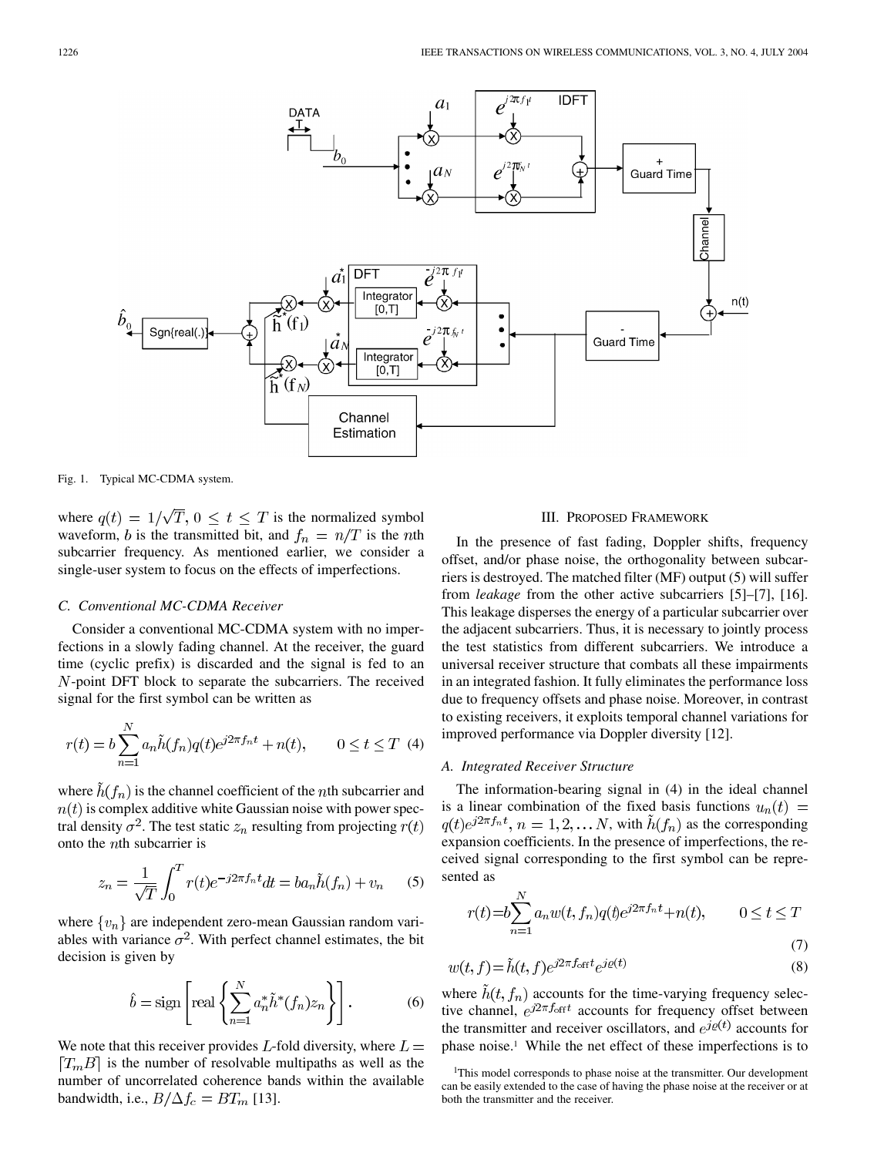

Fig. 1. Typical MC-CDMA system.

where  $q(t) = 1/\sqrt{T}$ ,  $0 \le t \le T$  is the normalized symbol waveform, b is the transmitted bit, and  $f_n = n/T$  is the nth subcarrier frequency. As mentioned earlier, we consider a single-user system to focus on the effects of imperfections.

# *C. Conventional MC-CDMA Receiver*

Consider a conventional MC-CDMA system with no imperfections in a slowly fading channel. At the receiver, the guard time (cyclic prefix) is discarded and the signal is fed to an  $N$ -point DFT block to separate the subcarriers. The received signal for the first symbol can be written as

$$
r(t) = b \sum_{n=1}^{N} a_n \tilde{h}(f_n) q(t) e^{j2\pi f_n t} + n(t), \qquad 0 \le t \le T \tag{4}
$$

where  $\tilde{h}(f_n)$  is the channel coefficient of the *n*th subcarrier and  $n(t)$  is complex additive white Gaussian noise with power spectral density  $\sigma^2$ . The test static  $z_n$  resulting from projecting  $r(t)$ onto the  $n$ th subcarrier is

$$
z_n = \frac{1}{\sqrt{T}} \int_0^T r(t)e^{-j2\pi f_n t} dt = ba_n \tilde{h}(f_n) + v_n \qquad (5)
$$

where  $\{v_n\}$  are independent zero-mean Gaussian random variables with variance  $\sigma^2$ . With perfect channel estimates, the bit decision is given by

$$
\hat{b} = \text{sign}\left[\text{real}\left\{\sum_{n=1}^{N} a_n^* \tilde{h}^*(f_n) z_n\right\}\right].\tag{6}
$$

We note that this receiver provides L-fold diversity, where  $L =$  $[T<sub>m</sub>B]$  is the number of resolvable multipaths as well as the number of uncorrelated coherence bands within the available bandwidth, i.e.,  $B/\Delta f_c = BT_m$  [[13\]](#page-10-0).

# III. PROPOSED FRAMEWORK

In the presence of fast fading, Doppler shifts, frequency offset, and/or phase noise, the orthogonality between subcarriers is destroyed. The matched filter (MF) output (5) will suffer from *leakage* from the other active subcarriers [\[5](#page-10-0)]–[[7\]](#page-10-0), [[16\]](#page-11-0). This leakage disperses the energy of a particular subcarrier over the adjacent subcarriers. Thus, it is necessary to jointly process the test statistics from different subcarriers. We introduce a universal receiver structure that combats all these impairments in an integrated fashion. It fully eliminates the performance loss due to frequency offsets and phase noise. Moreover, in contrast to existing receivers, it exploits temporal channel variations for improved performance via Doppler diversity [[12\]](#page-10-0).

# *A. Integrated Receiver Structure*

The information-bearing signal in (4) in the ideal channel is a linear combination of the fixed basis functions  $u_n(t)$  =  $q(t)e^{j2\pi f_nt}$ ,  $n = 1, 2, \dots N$ , with  $\tilde{h}(f_n)$  as the corresponding expansion coefficients. In the presence of imperfections, the received signal corresponding to the first symbol can be represented as

$$
r(t) = b \sum_{n=1}^{N} a_n w(t, f_n) q(t) e^{j2\pi f_n t} + n(t), \qquad 0 \le t \le T
$$
\n(7)

$$
w(t,f) = \tilde{h}(t,f)e^{j2\pi f_{\text{off}}t}e^{j\varrho(t)}
$$
\n(8)

where  $h(t, f_n)$  accounts for the time-varying frequency selective channel,  $e^{j2\pi f_{\text{off}}t}$  accounts for frequency offset between the transmitter and receiver oscillators, and  $e^{j\varrho(t)}$  accounts for phase noise.1 While the net effect of these imperfections is to

<sup>&</sup>lt;sup>1</sup>This model corresponds to phase noise at the transmitter. Our development can be easily extended to the case of having the phase noise at the receiver or at both the transmitter and the receiver.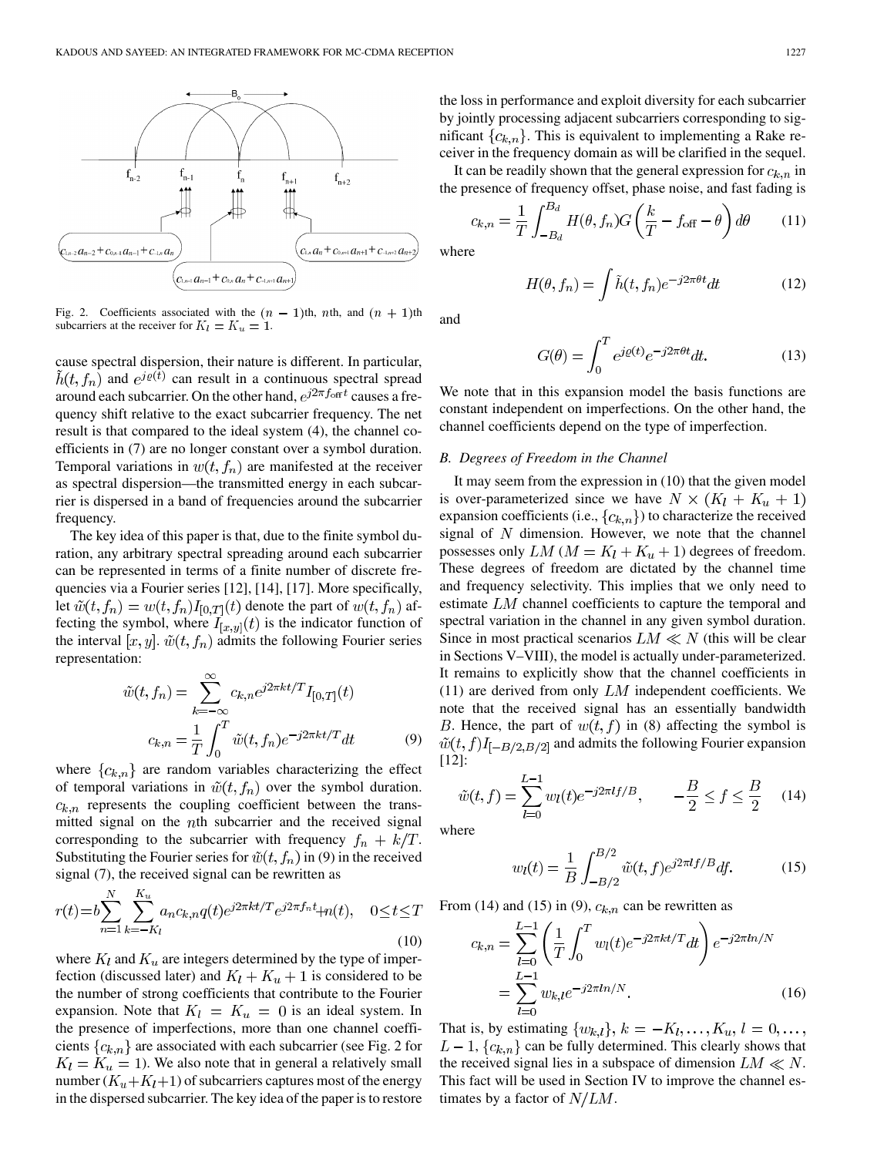

Fig. 2. Coefficients associated with the  $(n - 1)$ th, nth, and  $(n + 1)$ th subcarriers at the receiver for  $K_l = K_u = 1$ .

cause spectral dispersion, their nature is different. In particular,  $\tilde{h}(t, f_n)$  and  $e^{j\varrho(t)}$  can result in a continuous spectral spread around each subcarrier. On the other hand,  $e^{j2\pi f_{\text{off}}t}$  causes a frequency shift relative to the exact subcarrier frequency. The net result is that compared to the ideal system (4), the channel coefficients in (7) are no longer constant over a symbol duration. Temporal variations in  $w(t, f_n)$  are manifested at the receiver as spectral dispersion—the transmitted energy in each subcarrier is dispersed in a band of frequencies around the subcarrier frequency.

The key idea of this paper is that, due to the finite symbol duration, any arbitrary spectral spreading around each subcarrier can be represented in terms of a finite number of discrete frequencies via a Fourier series [[12\]](#page-10-0), [\[14\]](#page-10-0), [[17](#page-11-0)]. More specifically, let  $\tilde{w}(t, f_n) = w(t, f_n)I_{[0,T]}(t)$  denote the part of  $w(t, f_n)$  affecting the symbol, where  $I_{[x,y]}(t)$  is the indicator function of the interval  $[x, y]$ .  $\tilde{w}(t, f_n)$  admits the following Fourier series representation:

$$
\tilde{w}(t, f_n) = \sum_{k=-\infty}^{\infty} c_{k,n} e^{j2\pi kt/T} I_{[0,T]}(t)
$$

$$
c_{k,n} = \frac{1}{T} \int_0^T \tilde{w}(t, f_n) e^{-j2\pi kt/T} dt
$$
(9)

where  ${c_{k,n}}$  are random variables characterizing the effect of temporal variations in  $\tilde{w}(t, f_n)$  over the symbol duration.  $c_{k,n}$  represents the coupling coefficient between the transmitted signal on the  $n$ th subcarrier and the received signal corresponding to the subcarrier with frequency  $f_n + k/T$ . Substituting the Fourier series for  $\tilde{w}(t, f_n)$  in (9) in the received signal (7), the received signal can be rewritten as

$$
r(t) = b \sum_{n=1}^{N} \sum_{k=-K_l}^{K_u} a_n c_{k,n} q(t) e^{j2\pi kt/T} e^{j2\pi f_n t} + n(t), \quad 0 \le t \le T
$$
\n(10)

where  $K_l$  and  $K_u$  are integers determined by the type of imperfection (discussed later) and  $K_l + K_u + 1$  is considered to be the number of strong coefficients that contribute to the Fourier expansion. Note that  $K_l = K_u = 0$  is an ideal system. In the presence of imperfections, more than one channel coefficients  ${c_{k,n}}$  are associated with each subcarrier (see Fig. 2 for  $K_l = K_u = 1$ ). We also note that in general a relatively small number  $(K_u + K_l + 1)$  of subcarriers captures most of the energy in the dispersed subcarrier. The key idea of the paper is to restore the loss in performance and exploit diversity for each subcarrier by jointly processing adjacent subcarriers corresponding to significant  ${c_{k,n}}$ . This is equivalent to implementing a Rake receiver in the frequency domain as will be clarified in the sequel.

It can be readily shown that the general expression for  $c_{k,n}$  in the presence of frequency offset, phase noise, and fast fading is

$$
c_{k,n} = \frac{1}{T} \int_{-B_d}^{B_d} H(\theta, f_n) G\left(\frac{k}{T} - f_{\text{off}} - \theta\right) d\theta \qquad (11)
$$

where

$$
H(\theta, f_n) = \int \tilde{h}(t, f_n) e^{-j2\pi\theta t} dt
$$
 (12)

$$
\mathbf{d} =
$$

an

$$
G(\theta) = \int_0^T e^{j\varrho(t)} e^{-j2\pi\theta t} dt.
$$
 (13)

We note that in this expansion model the basis functions are constant independent on imperfections. On the other hand, the channel coefficients depend on the type of imperfection.

# *B. Degrees of Freedom in the Channel*

It may seem from the expression in (10) that the given model is over-parameterized since we have  $N \times (K_l + K_u + 1)$ expansion coefficients (i.e.,  ${c_{k,n}}$ ) to characterize the received signal of  $N$  dimension. However, we note that the channel possesses only  $LM (M = K_l + K_u + 1)$  degrees of freedom. These degrees of freedom are dictated by the channel time and frequency selectivity. This implies that we only need to estimate  $LM$  channel coefficients to capture the temporal and spectral variation in the channel in any given symbol duration. Since in most practical scenarios  $LM \ll N$  (this will be clear in Sections V–VIII), the model is actually under-parameterized. It remains to explicitly show that the channel coefficients in (11) are derived from only  $LM$  independent coefficients. We note that the received signal has an essentially bandwidth B. Hence, the part of  $w(t, f)$  in (8) affecting the symbol is  $\tilde{w}(t,f)I_{[-B/2,B/2]}$  and admits the following Fourier expansion [\[12](#page-10-0)]:

$$
\tilde{w}(t,f) = \sum_{l=0}^{L-1} w_l(t)e^{-j2\pi lf/B}, \qquad -\frac{B}{2} \le f \le \frac{B}{2} \tag{14}
$$

where

$$
w_l(t) = \frac{1}{B} \int_{-B/2}^{B/2} \tilde{w}(t, f) e^{j2\pi l f/B} df.
$$
 (15)

From (14) and (15) in (9),  $c_{k,n}$  can be rewritten as

$$
c_{k,n} = \sum_{l=0}^{L-1} \left( \frac{1}{T} \int_0^T w_l(t) e^{-j2\pi kt/T} dt \right) e^{-j2\pi ln/N}
$$
  
= 
$$
\sum_{l=0}^{L-1} w_{k,l} e^{-j2\pi ln/N}.
$$
 (16)

That is, by estimating  $\{w_{k,l}\}, k = -K_l, \ldots, K_u, l = 0, \ldots,$  $L-1, \{c_{k,n}\}\)$  can be fully determined. This clearly shows that the received signal lies in a subspace of dimension  $LM \ll N$ . This fact will be used in Section IV to improve the channel estimates by a factor of  $N/LM$ .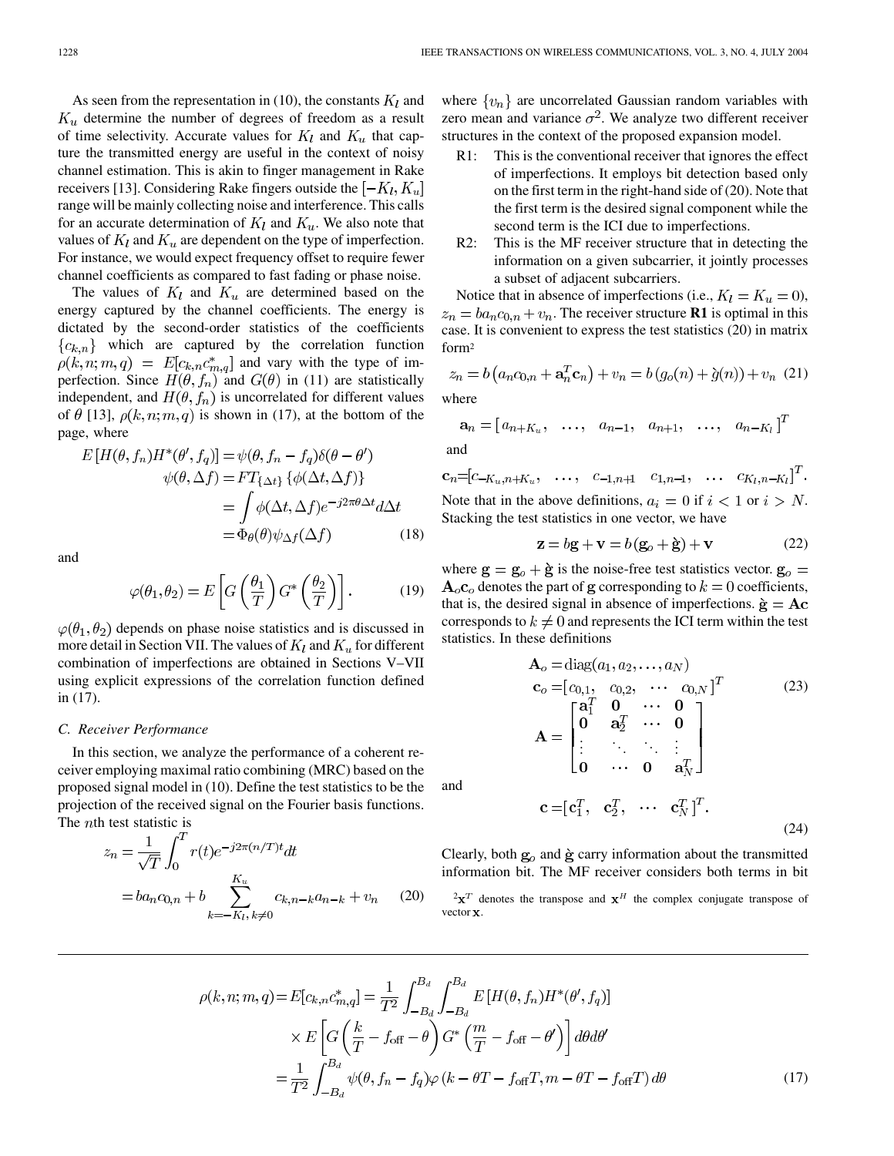As seen from the representation in (10), the constants  $K_l$  and  $K_u$  determine the number of degrees of freedom as a result of time selectivity. Accurate values for  $K_l$  and  $K_u$  that capture the transmitted energy are useful in the context of noisy channel estimation. This is akin to finger management in Rake receivers [[13\]](#page-10-0). Considering Rake fingers outside the  $[-K_l, K_u]$ range will be mainly collecting noise and interference. This calls for an accurate determination of  $K_l$  and  $K_u$ . We also note that values of  $K_l$  and  $K_u$  are dependent on the type of imperfection. For instance, we would expect frequency offset to require fewer channel coefficients as compared to fast fading or phase noise.

The values of  $K_l$  and  $K_u$  are determined based on the energy captured by the channel coefficients. The energy is dictated by the second-order statistics of the coefficients  ${c_{k,n}}$  which are captured by the correlation function  $\rho(k,n;m,q) = E[c_{k,n}c_{m,q}^*]$  and vary with the type of imperfection. Since  $H(\theta, f_n)$  and  $G(\theta)$  in (11) are statistically independent, and  $H(\theta, f_n)$  is uncorrelated for different values of  $\theta$  [[13\]](#page-10-0),  $\rho(k, n; m, q)$  is shown in (17), at the bottom of the page, where

$$
E[H(\theta, f_n)H^*(\theta', f_q)] = \psi(\theta, f_n - f_q)\delta(\theta - \theta')
$$
  

$$
\psi(\theta, \Delta f) = FT_{\{\Delta t\}} \{\phi(\Delta t, \Delta f)\}
$$
  

$$
= \int \phi(\Delta t, \Delta f)e^{-j2\pi\theta \Delta t}d\Delta t
$$
  

$$
= \Phi_{\theta}(\theta)\psi_{\Delta f}(\Delta f)
$$
 (18)

and

$$
\varphi(\theta_1, \theta_2) = E\left[G\left(\frac{\theta_1}{T}\right)G^*\left(\frac{\theta_2}{T}\right)\right].\tag{19}
$$

 $\varphi(\theta_1, \theta_2)$  depends on phase noise statistics and is discussed in more detail in Section VII. The values of  $K_l$  and  $K_u$  for different combination of imperfections are obtained in Sections V–VII using explicit expressions of the correlation function defined in (17).

# *C. Receiver Performance*

In this section, we analyze the performance of a coherent receiver employing maximal ratio combining (MRC) based on the proposed signal model in (10). Define the test statistics to be the projection of the received signal on the Fourier basis functions. The *n*th test statistic is

$$
z_n = \frac{1}{\sqrt{T}} \int_0^T r(t)e^{-j2\pi(n/T)t} dt
$$
  
=  $ba_nc_{0,n} + b \sum_{k=-K_l, k \neq 0}^{K_u} c_{k,n-k}a_{n-k} + v_n$  (20)

where  $\{v_n\}$  are uncorrelated Gaussian random variables with zero mean and variance  $\sigma^2$ . We analyze two different receiver structures in the context of the proposed expansion model.

- R1: This is the conventional receiver that ignores the effect of imperfections. It employs bit detection based only on the first term in the right-hand side of (20). Note that the first term is the desired signal component while the second term is the ICI due to imperfections.
- R2: This is the MF receiver structure that in detecting the information on a given subcarrier, it jointly processes a subset of adjacent subcarriers.

Notice that in absence of imperfections (i.e.,  $K_l = K_u = 0$ ),  $z_n = ba_n c_{0,n} + v_n$ . The receiver structure **R1** is optimal in this case. It is convenient to express the test statistics (20) in matrix form2

$$
z_n = b (a_n c_{0,n} + \mathbf{a}_n^T \mathbf{c}_n) + v_n = b (g_o(n) + \dot{g}(n)) + v_n
$$
 (21)  
where

 $\mathbf{a}_n = [a_{n+K_u}, \dots, a_{n-1}, a_{n+1}, \dots, a_{n-K_l}]^T$ 

and

 $\mathbf{c}_n = [c_{-K_u, n+K_u}, \dots, c_{-1,n+1} \ c_{1,n-1}, \dots, c_{K_l, n-K_l}]^T.$ Note that in the above definitions,  $a_i = 0$  if  $i < 1$  or  $i > N$ . Stacking the test statistics in one vector, we have

$$
\mathbf{z} = b\mathbf{g} + \mathbf{v} = b(\mathbf{g}_o + \mathbf{\dot{g}}) + \mathbf{v}
$$
 (22)

where  $g = g_0 + \hat{g}$  is the noise-free test statistics vector.  $g_0 =$  $A_0C_0$  denotes the part of g corresponding to  $k = 0$  coefficients, that is, the desired signal in absence of imperfections.  $\hat{\mathbf{g}} = \mathbf{A}\mathbf{c}$ corresponds to  $k \neq 0$  and represents the ICI term within the test statistics. In these definitions

$$
\mathbf{A}_{o} = \text{diag}(a_{1}, a_{2},..., a_{N})
$$
\n
$$
\mathbf{c}_{o} = [c_{0,1}, c_{0,2}, \cdots, c_{0,N}]^{T}
$$
\n
$$
\mathbf{A} = \begin{bmatrix}\n\mathbf{a}_{1}^{T} & \mathbf{0} & \cdots & \mathbf{0} \\
\mathbf{0} & \mathbf{a}_{2}^{T} & \cdots & \mathbf{0} \\
\vdots & \ddots & \ddots & \vdots \\
\mathbf{0} & \cdots & \mathbf{0} & \mathbf{a}_{N}^{T}\n\end{bmatrix}
$$
\n
$$
\mathbf{c} = [\mathbf{c}_{1}^{T}, \mathbf{c}_{2}^{T}, \cdots, \mathbf{c}_{N}^{T}]^{T}
$$
\n(23)

and

$$
\mathbf{c} = [\mathbf{c}_1^T, \quad \mathbf{c}_2^T, \quad \cdots \quad \mathbf{c}_N^T]^T. \tag{24}
$$

Clearly, both  $g_0$  and  $\dot{g}$  carry information about the transmitted information bit. The MF receiver considers both terms in bit

 $2 \mathbf{x}^T$  denotes the transpose and  $\mathbf{x}^H$  the complex conjugate transpose of vector x.

$$
\rho(k,n;m,q) = E[c_{k,n}c_{m,q}^*] = \frac{1}{T^2} \int_{-B_d}^{B_d} \int_{-B_d}^{B_d} E\left[H(\theta, f_n)H^*(\theta', f_q)\right]
$$

$$
\times E\left[G\left(\frac{k}{T} - f_{\text{off}} - \theta\right)G^*\left(\frac{m}{T} - f_{\text{off}} - \theta'\right)\right]d\theta d\theta'
$$

$$
= \frac{1}{T^2} \int_{-B_d}^{B_d} \psi(\theta, f_n - f_q)\varphi(k - \theta T - f_{\text{off}}T, m - \theta T - f_{\text{off}}T) d\theta \tag{17}
$$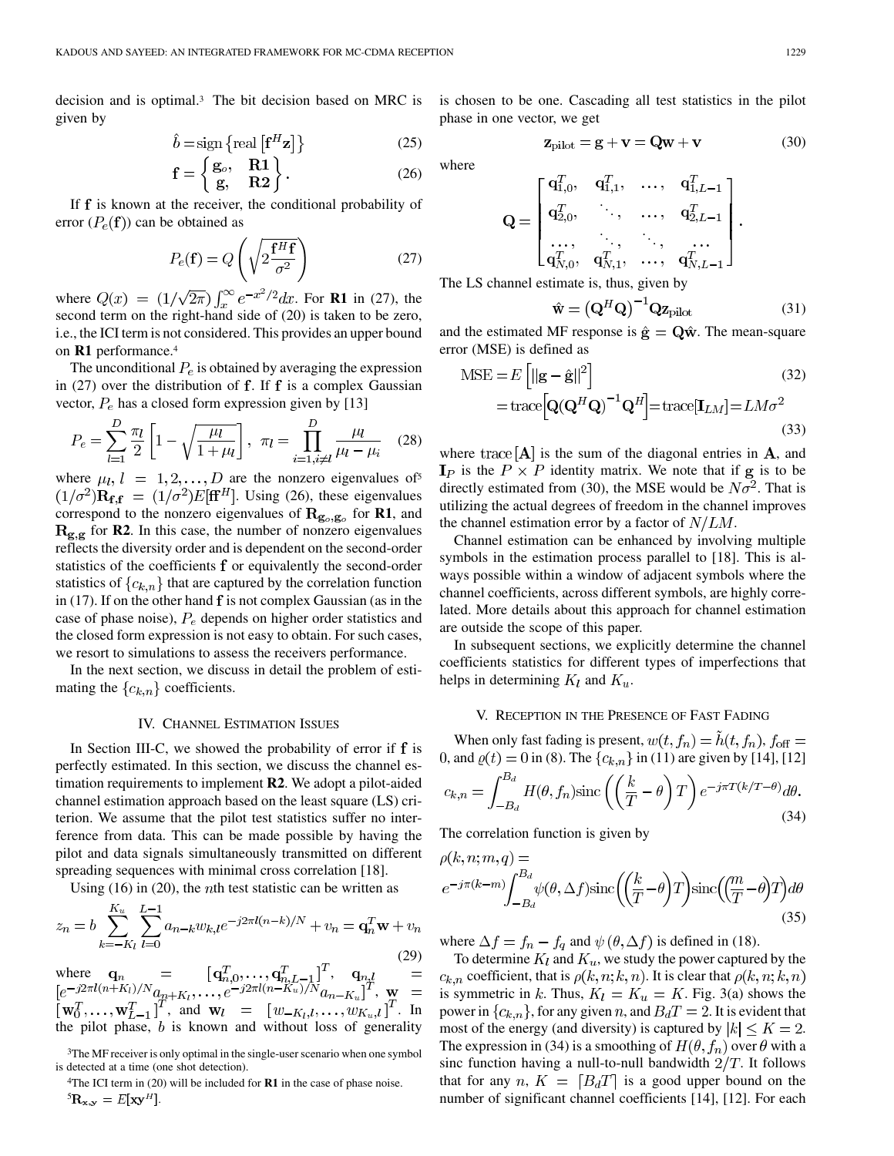decision and is optimal.3 The bit decision based on MRC is given by

$$
\hat{b} = \text{sign}\left\{ \text{real}\left[\mathbf{f}^H \mathbf{z}\right] \right\} \tag{25}
$$

$$
\mathbf{f} = \begin{Bmatrix} \mathbf{g}_o, & \mathbf{R1} \\ \mathbf{g}, & \mathbf{R2} \end{Bmatrix} . \tag{26}
$$

If  $f$  is known at the receiver, the conditional probability of error  $(P_e(\mathbf{f}))$  can be obtained as

$$
P_e(\mathbf{f}) = Q\left(\sqrt{2\frac{\mathbf{f}^H\mathbf{f}}{\sigma^2}}\right) \tag{27}
$$

where  $Q(x) = (1/\sqrt{2\pi}) \int_x^{\infty} e^{-x^2/2} dx$ . For **R1** in (27), the second term on the right-hand side of (20) is taken to be zero, i.e., the ICI term is not considered. This provides an upper bound on **R1** performance.4

The unconditional  $P_e$  is obtained by averaging the expression in  $(27)$  over the distribution of f. If f is a complex Gaussian vector,  $P_e$  has a closed form expression given by [[13\]](#page-10-0)

$$
P_e = \sum_{l=1}^{D} \frac{\pi_l}{2} \left[ 1 - \sqrt{\frac{\mu_l}{1 + \mu_l}} \right], \quad \pi_l = \prod_{i=1, i \neq l}^{D} \frac{\mu_l}{\mu_l - \mu_i} \quad (28)
$$

where  $\mu_l, l = 1, 2, \dots, D$  are the nonzero eigenvalues of  $(1/\sigma^2)$ **R**<sub>f,f</sub> =  $(1/\sigma^2)E$ **[ff**<sup>H</sup>]. Using (26), these eigenvalues correspond to the nonzero eigenvalues of  $\mathbf{R}_{\mathbf{g}_o,\mathbf{g}_o}$  for **R1**, and  $\mathbf{R}_{g,g}$  for **R2**. In this case, the number of nonzero eigenvalues reflects the diversity order and is dependent on the second-order statistics of the coefficients f or equivalently the second-order statistics of  $\{c_{k,n}\}\)$  that are captured by the correlation function in  $(17)$ . If on the other hand  $f$  is not complex Gaussian (as in the case of phase noise),  $P_e$  depends on higher order statistics and the closed form expression is not easy to obtain. For such cases, we resort to simulations to assess the receivers performance.

In the next section, we discuss in detail the problem of estimating the  ${c_{k,n}}$  coefficients.

# IV. CHANNEL ESTIMATION ISSUES

In Section III-C, we showed the probability of error if f is perfectly estimated. In this section, we discuss the channel estimation requirements to implement **R2**. We adopt a pilot-aided channel estimation approach based on the least square (LS) criterion. We assume that the pilot test statistics suffer no interference from data. This can be made possible by having the pilot and data signals simultaneously transmitted on different spreading sequences with minimal cross correlation [\[18](#page-11-0)].

Using  $(16)$  in  $(20)$ , the *n*th test statistic can be written as

$$
z_n = b \sum_{k=-K_l}^{K_u} \sum_{l=0}^{L-1} a_{n-k} w_{k,l} e^{-j2\pi l(n-k)/N} + v_n = \mathbf{q}_n^T \mathbf{w} + v_n
$$
\n(29)

where  $\mathbf{q}_n = [\mathbf{q}_{n}^T, \dots, \mathbf{q}_{n}^T, \dots]^T$ , , , and  $\mathbf{w}_l = [w_{-K_l, l}, \dots, w_{K_u, l}]^T$ . In the pilot phase,  $b$  is known and without loss of generality

<sup>3</sup>The MF receiver is only optimal in the single-user scenario when one symbol is detected at a time (one shot detection).

4The ICI term in (20) will be included for **R1** in the case of phase noise.  ${}^{5}\mathbf{R}_{\mathbf{x},\mathbf{y}} = E[\mathbf{xy}^H].$ 

is chosen to be one. Cascading all test statistics in the pilot phase in one vector, we get

$$
z_{\text{pilot}} = g + v = Qw + v \tag{30}
$$

$$
\mathbf{Q} = \begin{bmatrix} \mathbf{q}_{1,0}^T, & \mathbf{q}_{1,1}^T, & \dots, & \mathbf{q}_{1,L-1}^T \\ \mathbf{q}_{2,0}^T, & \ddots, & \dots, & \mathbf{q}_{2,L-1}^T \\ \dots, & \ddots, & \ddots, & \dots \\ \mathbf{q}_{N,0}^T, & \mathbf{q}_{N,1}^T, & \dots, & \mathbf{q}_{N,L-1}^T \end{bmatrix}
$$

The LS channel estimate is, thus, given by

where

$$
\hat{\mathbf{w}} = \left(\mathbf{Q}^H \mathbf{Q}\right)^{-1} \mathbf{Q} \mathbf{z}_{\text{pilot}}
$$
 (31)

and the estimated MF response is  $\hat{\mathbf{g}} = \mathbf{Q}\hat{\mathbf{w}}$ . The mean-square error (MSE) is defined as

$$
MSE = E \left[ ||\mathbf{g} - \hat{\mathbf{g}}||^2 \right]
$$
\n
$$
= \text{trace} \left[ \mathbf{Q} (\mathbf{Q}^H \mathbf{Q})^{-1} \mathbf{Q}^H \right] = \text{trace} [\mathbf{I}_{LM}] = LM\sigma^2
$$
\n(33)

where trace  $[A]$  is the sum of the diagonal entries in  $A$ , and  $\mathbf{I}_P$  is the  $P \times P$  identity matrix. We note that if g is to be directly estimated from (30), the MSE would be  $N\sigma^2$ . That is utilizing the actual degrees of freedom in the channel improves the channel estimation error by a factor of  $N/LM$ .

Channel estimation can be enhanced by involving multiple symbols in the estimation process parallel to [\[18](#page-11-0)]. This is always possible within a window of adjacent symbols where the channel coefficients, across different symbols, are highly correlated. More details about this approach for channel estimation are outside the scope of this paper.

In subsequent sections, we explicitly determine the channel coefficients statistics for different types of imperfections that helps in determining  $K_l$  and  $K_u$ .

# V. RECEPTION IN THE PRESENCE OF FAST FADING

When only fast fading is present,  $w(t, f_n) = h(t, f_n)$ ,  $f_{\text{off}} =$ 0, and  $\rho(t) = 0$  in (8). The  $\{c_{k,n}\}\$ in (11) are given by [[14\]](#page-10-0), [[12\]](#page-10-0)

$$
c_{k,n} = \int_{-B_d}^{B_d} H(\theta, f_n) \text{sinc}\left(\left(\frac{k}{T} - \theta\right)T\right) e^{-j\pi T(k/T - \theta)} d\theta.
$$
\n(34)

The correlation function is given by

$$
\rho(k, n; m, q) =
$$
  
\n
$$
e^{-j\pi(k-m)} \int_{-B_d}^{B_d} \psi(\theta, \Delta f) \operatorname{sinc}\left(\left(\frac{k}{T} - \theta\right) T\right) \operatorname{sinc}\left(\left(\frac{m}{T} - \theta\right) T\right) d\theta
$$
\n(35)

where  $\Delta f = f_n - f_q$  and  $\psi(\theta, \Delta f)$  is defined in (18).

To determine  $K_l$  and  $K_u$ , we study the power captured by the  $c_{k,n}$  coefficient, that is  $\rho(k,n;k,n)$ . It is clear that  $\rho(k,n;k,n)$ is symmetric in k. Thus,  $K_l = K_u = K$ . Fig. 3(a) shows the power in  $\{c_{k,n}\}\$ , for any given n, and  $B_dT = 2$ . It is evident that most of the energy (and diversity) is captured by  $|k| \le K = 2$ . The expression in (34) is a smoothing of  $H(\theta, f_n)$  over  $\theta$  with a sinc function having a null-to-null bandwidth  $2/T$ . It follows that for any  $n, K = [B_d]$  is a good upper bound on the number of significant channel coefficients [[14\]](#page-10-0), [[12\]](#page-10-0). For each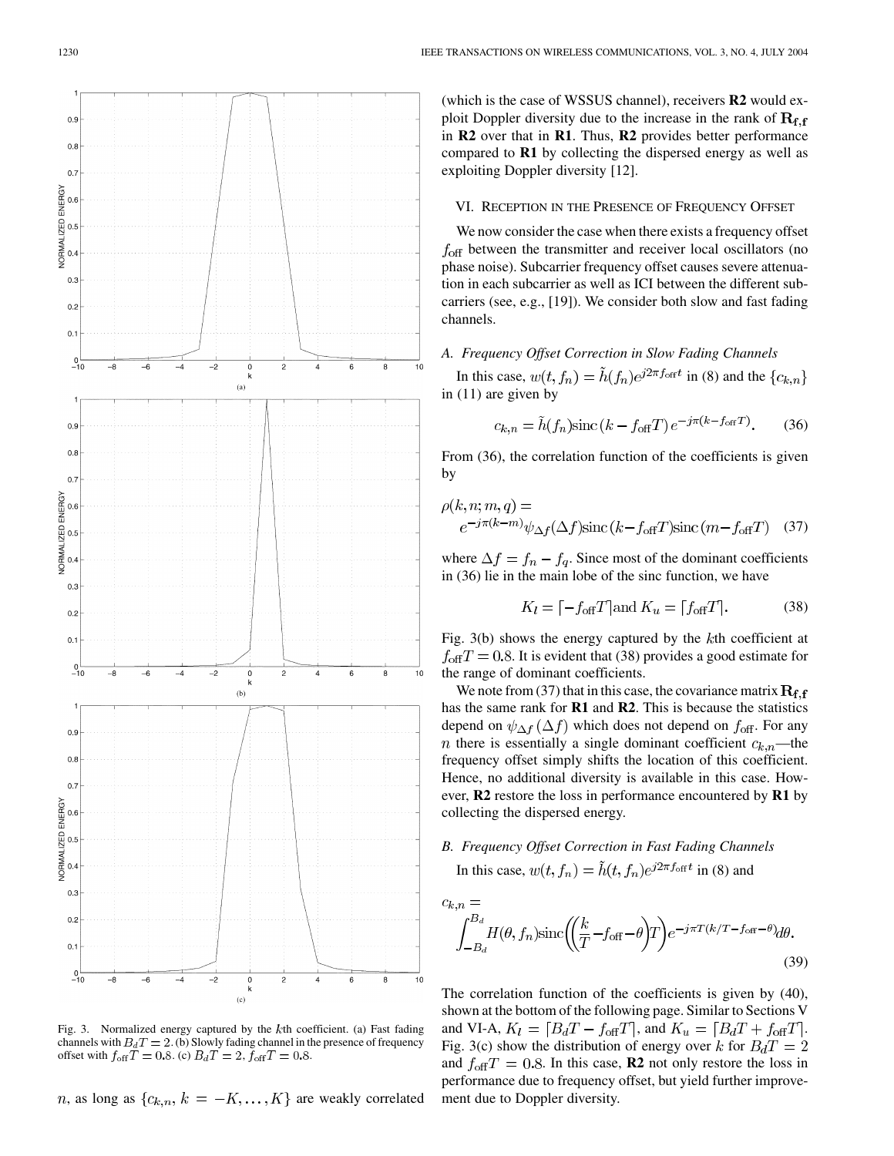

Fig. 3. Normalized energy captured by the  $k$ th coefficient. (a) Fast fading channels with  $B_dT = 2$ . (b) Slowly fading channel in the presence of frequency offset with  $f_{\text{off}}T = 0.8$ . (c)  $B_dT = 2$ ,  $f_{\text{off}}T = 0.8$ .

n, as long as  $\{c_{k,n}, k = -K, \ldots, K\}$  are weakly correlated

(which is the case of WSSUS channel), receivers **R2** would exploit Doppler diversity due to the increase in the rank of  $R_{f,f}$ in **R2** over that in **R1**. Thus, **R2** provides better performance compared to **R1** by collecting the dispersed energy as well as exploiting Doppler diversity [[12\]](#page-10-0).

#### VI. RECEPTION IN THE PRESENCE OF FREQUENCY OFFSET

We now consider the case when there exists a frequency offset  $f_{\text{off}}$  between the transmitter and receiver local oscillators (no phase noise). Subcarrier frequency offset causes severe attenuation in each subcarrier as well as ICI between the different subcarriers (see, e.g., [\[19](#page-11-0)]). We consider both slow and fast fading channels.

# *A. Frequency Offset Correction in Slow Fading Channels*

In this case,  $w(t, f_n) = \tilde{h}(f_n) e^{j2\pi f_{\text{off}}t}$  in (8) and the  $\{c_{k,n}\}$ in (11) are given by

$$
c_{k,n} = \tilde{h}(f_n)\text{sinc}\left(k - f_{\text{off}}T\right)e^{-j\pi\left(k - f_{\text{off}}T\right)}.\tag{36}
$$

From (36), the correlation function of the coefficients is given by

$$
\rho(k, n; m, q) =
$$
  

$$
e^{-j\pi(k-m)}\psi_{\Delta f}(\Delta f)\operatorname{sinc}(k - f_{\text{off}}T)\operatorname{sinc}(m - f_{\text{off}}T) \quad (37)
$$

where  $\Delta f = f_n - f_q$ . Since most of the dominant coefficients in (36) lie in the main lobe of the sinc function, we have

$$
K_l = \lceil -f_{\text{off}} T \rceil \text{and } K_u = \lceil f_{\text{off}} T \rceil. \tag{38}
$$

Fig.  $3(b)$  shows the energy captured by the kth coefficient at  $f_{\text{off}}T = 0.8$ . It is evident that (38) provides a good estimate for the range of dominant coefficients.

We note from (37) that in this case, the covariance matrix  $\mathbf{R}_{\mathbf{f},\mathbf{f}}$ has the same rank for **R1** and **R2**. This is because the statistics depend on  $\psi_{\Delta f}(\Delta f)$  which does not depend on  $f_{\text{off}}$ . For any *n* there is essentially a single dominant coefficient  $c_{k,n}$ —the frequency offset simply shifts the location of this coefficient. Hence, no additional diversity is available in this case. However, **R2** restore the loss in performance encountered by **R1** by collecting the dispersed energy.

*B. Frequency Offset Correction in Fast Fading Channels* In this case,  $w(t, f_n) = \tilde{h}(t, f_n) e^{j2\pi f_{\text{off}}t}$  in (8) and

$$
c_{k,n} = \int_{-B_d}^{B_d} H(\theta, f_n) \operatorname{sinc}\left(\left(\frac{k}{T} - f_{\text{off}} - \theta\right)T\right) e^{-j\pi T (k/T - f_{\text{off}} - \theta)} d\theta.
$$
\n(39)

The correlation function of the coefficients is given by (40), shown at the bottom of the following page. Similar to Sections V and VI-A,  $K_l = [B_dT - f_{\text{off}}T]$ , and  $K_u = [B_dT + f_{\text{off}}T]$ . Fig. 3(c) show the distribution of energy over k for  $B_dT = 2$ and  $f_{\text{off}}T = 0.8$ . In this case, **R2** not only restore the loss in performance due to frequency offset, but yield further improvement due to Doppler diversity.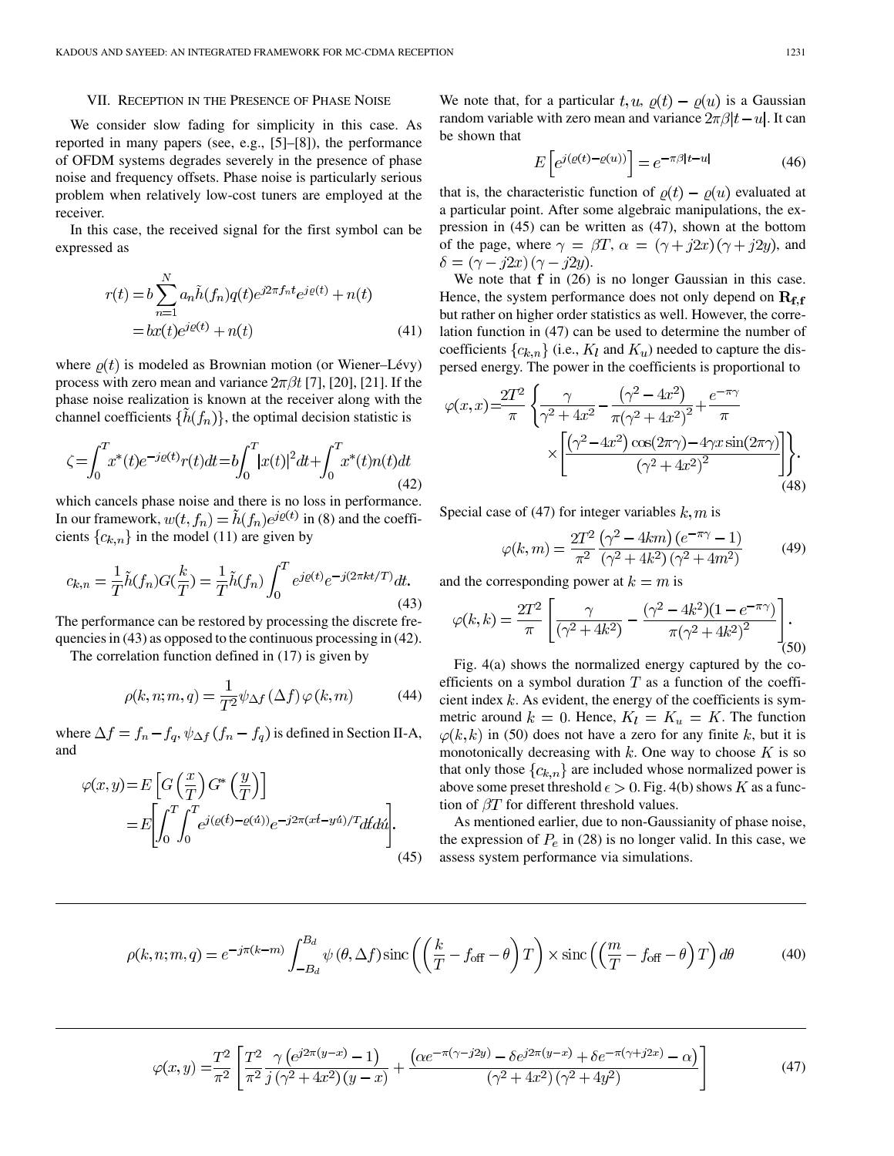#### VII. RECEPTION IN THE PRESENCE OF PHASE NOISE

We consider slow fading for simplicity in this case. As reported in many papers (see, e.g., [\[5](#page-10-0)]–[\[8\]](#page-10-0)), the performance of OFDM systems degrades severely in the presence of phase noise and frequency offsets. Phase noise is particularly serious problem when relatively low-cost tuners are employed at the receiver.

In this case, the received signal for the first symbol can be expressed as

$$
r(t) = b \sum_{n=1}^{N} a_n \tilde{h}(f_n) q(t) e^{j2\pi f_n t} e^{j\varrho(t)} + n(t)
$$
  
=  $bx(t)e^{j\varrho(t)} + n(t)$  (41)

where  $\rho(t)$  is modeled as Brownian motion (or Wiener–Lévy) process with zero mean and variance  $2\pi\beta t$  [\[7](#page-10-0)], [[20\]](#page-11-0), [\[21](#page-11-0)]. If the phase noise realization is known at the receiver along with the channel coefficients  $\{\tilde{h}(f_n)\}\$ , the optimal decision statistic is

$$
\zeta = \int_0^T x^*(t)e^{-j\varrho(t)}r(t)dt = b\int_0^T |x(t)|^2 dt + \int_0^T x^*(t)n(t)dt
$$
\n(42)

which cancels phase noise and there is no loss in performance. In our framework,  $w(t, f_n) = h(f_n)e^{j\varrho(t)}$  in (8) and the coefficients  $\{c_{k,n}\}\$ in the model (11) are given by

$$
c_{k,n} = \frac{1}{T}\tilde{h}(f_n)G(\frac{k}{T}) = \frac{1}{T}\tilde{h}(f_n)\int_0^T e^{j\varrho(t)}e^{-j(2\pi kt/T)}dt.
$$
\n(43)

The performance can be restored by processing the discrete frequencies in  $(43)$  as opposed to the continuous processing in  $(42)$ .

The correlation function defined in (17) is given by

$$
\rho(k,n;m,q) = \frac{1}{T^2} \psi_{\Delta f}(\Delta f) \varphi(k,m)
$$
\n(44)

where  $\Delta f = f_n - f_q$ ,  $\psi_{\Delta f} (f_n - f_q)$  is defined in Section II-A, and

$$
\varphi(x,y) = E\left[G\left(\frac{x}{T}\right)G^*\left(\frac{y}{T}\right)\right]
$$

$$
= E\left[\int_0^T \int_0^T e^{j(\varrho(\hat{t}) - \varrho(\hat{u}))} e^{-j2\pi(x\hat{t} - y\hat{u})/T} dt d\hat{u}\right].
$$
(45)

We note that, for a particular  $t, u, \rho(t) - \rho(u)$  is a Gaussian random variable with zero mean and variance  $2\pi\beta|t-u|$ . It can be shown that

$$
E\left[e^{j(\varrho(t)-\varrho(u))}\right] = e^{-\pi\beta|t-u|}
$$
\n(46)

that is, the characteristic function of  $\rho(t) - \rho(u)$  evaluated at a particular point. After some algebraic manipulations, the expression in (45) can be written as (47), shown at the bottom of the page, where  $\gamma = \beta T$ ,  $\alpha = (\gamma + j2x)(\gamma + j2y)$ , and  $\delta = (\gamma - j2x)(\gamma - j2y).$ 

We note that  $f$  in (26) is no longer Gaussian in this case. Hence, the system performance does not only depend on  $\mathbf{R}_{\mathbf{f},\mathbf{f}}$ but rather on higher order statistics as well. However, the correlation function in (47) can be used to determine the number of coefficients  $\{c_{k,n}\}\$  (i.e.,  $K_l$  and  $K_u$ ) needed to capture the dispersed energy. The power in the coefficients is proportional to

$$
\varphi(x,x) = \frac{2T^2}{\pi} \left\{ \frac{\gamma}{\gamma^2 + 4x^2} - \frac{(\gamma^2 - 4x^2)}{\pi(\gamma^2 + 4x^2)^2} + \frac{e^{-\pi\gamma}}{\pi} \times \left[ \frac{(\gamma^2 - 4x^2)\cos(2\pi\gamma) - 4\gamma x \sin(2\pi\gamma)}{(\gamma^2 + 4x^2)^2} \right] \right\}.
$$
\n(48)

Special case of (47) for integer variables  $k, m$  is

$$
\varphi(k,m) = \frac{2T^2}{\pi^2} \frac{(\gamma^2 - 4km) (e^{-\pi\gamma} - 1)}{(\gamma^2 + 4k^2) (\gamma^2 + 4m^2)}
$$
(49)

and the corresponding power at  $k = m$  is

$$
\varphi(k,k) = \frac{2T^2}{\pi} \left[ \frac{\gamma}{(\gamma^2 + 4k^2)} - \frac{(\gamma^2 - 4k^2)(1 - e^{-\pi \gamma})}{\pi (\gamma^2 + 4k^2)^2} \right].
$$
\n(50)

Fig. 4(a) shows the normalized energy captured by the coefficients on a symbol duration  $T$  as a function of the coefficient index  $k$ . As evident, the energy of the coefficients is symmetric around  $k = 0$ . Hence,  $K_l = K_u = K$ . The function  $\varphi(k, k)$  in (50) does not have a zero for any finite k, but it is monotonically decreasing with  $k$ . One way to choose  $K$  is so that only those  $\{c_{k,n}\}$  are included whose normalized power is above some preset threshold  $\epsilon > 0$ . Fig. 4(b) shows K as a function of  $\beta T$  for different threshold values.

As mentioned earlier, due to non-Gaussianity of phase noise, the expression of  $P_e$  in (28) is no longer valid. In this case, we assess system performance via simulations.

$$
\rho(k, n; m, q) = e^{-j\pi(k-m)} \int_{-B_d}^{B_d} \psi(\theta, \Delta f) \operatorname{sinc}\left(\left(\frac{k}{T} - f_{\text{off}} - \theta\right)T\right) \times \operatorname{sinc}\left(\left(\frac{m}{T} - f_{\text{off}} - \theta\right)T\right) d\theta \tag{40}
$$

$$
\varphi(x,y) = \frac{T^2}{\pi^2} \left[ \frac{T^2}{\pi^2} \frac{\gamma \left( e^{j2\pi(y-x)} - 1 \right)}{j \left( \gamma^2 + 4x^2 \right) (y-x)} + \frac{\left( \alpha e^{-\pi(\gamma - j2y)} - \delta e^{j2\pi(y-x)} + \delta e^{-\pi(\gamma + j2x)} - \alpha \right)}{\left( \gamma^2 + 4x^2 \right) \left( \gamma^2 + 4y^2 \right)} \right]
$$
(47)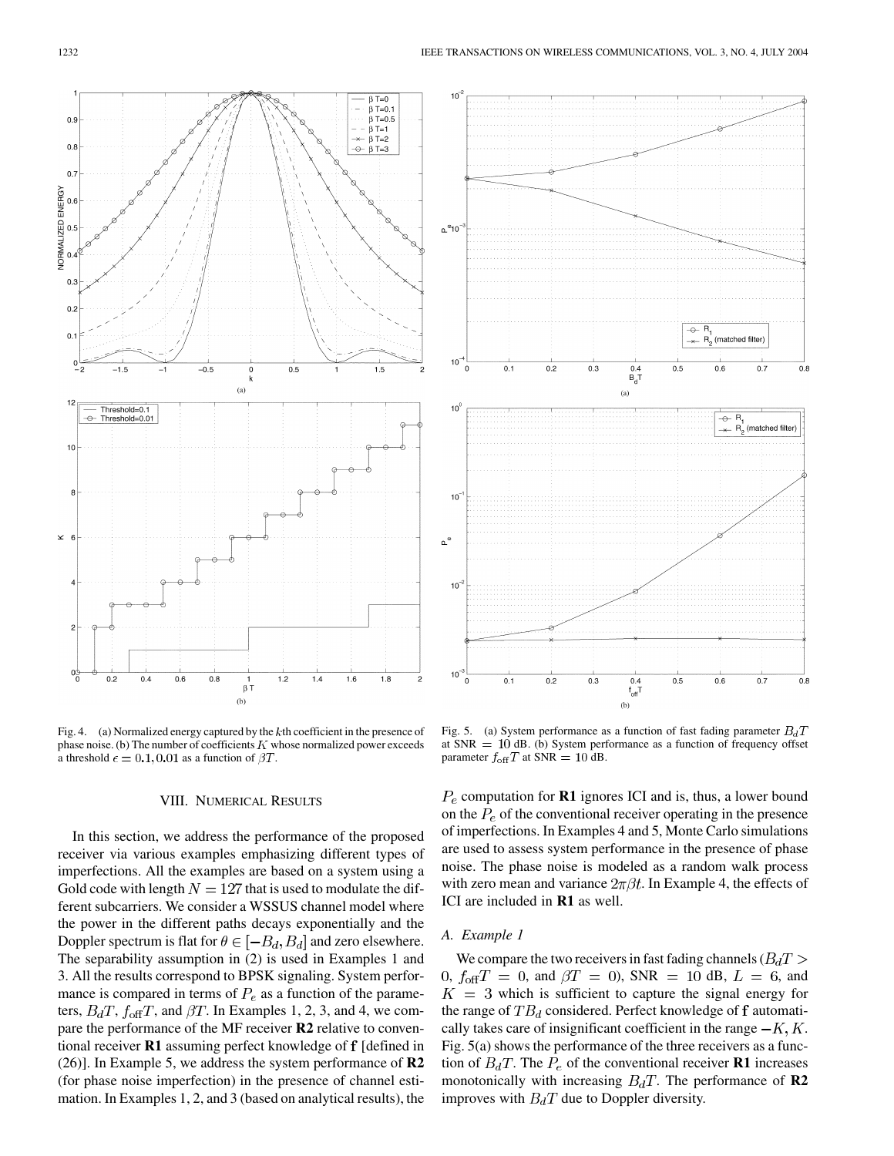

Fig. 4.  $(a)$  Normalized energy captured by the  $k$ th coefficient in the presence of phase noise. (b) The number of coefficients  $K$  whose normalized power exceeds a threshold  $\epsilon = 0.1, 0.01$  as a function of  $\beta T$ .

#### VIII. NUMERICAL RESULTS

In this section, we address the performance of the proposed receiver via various examples emphasizing different types of imperfections. All the examples are based on a system using a Gold code with length  $N = 127$  that is used to modulate the different subcarriers. We consider a WSSUS channel model where the power in the different paths decays exponentially and the Doppler spectrum is flat for  $\theta \in [-B_d, B_d]$  and zero elsewhere. The separability assumption in (2) is used in Examples 1 and 3. All the results correspond to BPSK signaling. System performance is compared in terms of  $P_e$  as a function of the parameters,  $B_dT$ ,  $f_{\text{off}}T$ , and  $\beta T$ . In Examples 1, 2, 3, and 4, we compare the performance of the MF receiver **R2** relative to conventional receiver **R1** assuming perfect knowledge of **f** [defined in (26)]. In Example 5, we address the system performance of **R2** (for phase noise imperfection) in the presence of channel estimation. In Examples 1, 2, and 3 (based on analytical results), the



Fig. 5. (a) System performance as a function of fast fading parameter  $B_dT$ at  $SNR = 10$  dB. (b) System performance as a function of frequency offset parameter  $f_{\text{off}}T$  at SNR = 10 dB.

 $P_e$  computation for **R1** ignores ICI and is, thus, a lower bound on the  $P_e$  of the conventional receiver operating in the presence of imperfections. In Examples 4 and 5, Monte Carlo simulations are used to assess system performance in the presence of phase noise. The phase noise is modeled as a random walk process with zero mean and variance  $2\pi\beta t$ . In Example 4, the effects of ICI are included in **R1** as well.

# *A. Example 1*

We compare the two receivers in fast fading channels ( $B_dT$ ) 0,  $f_{\text{off}}T = 0$ , and  $\beta T = 0$ ), SNR = 10 dB,  $L = 6$ , and  $K = 3$  which is sufficient to capture the signal energy for the range of  $TB<sub>d</sub>$  considered. Perfect knowledge of f automatically takes care of insignificant coefficient in the range  $-K$ ,  $K$ . Fig. 5(a) shows the performance of the three receivers as a function of  $B_dT$ . The  $P_e$  of the conventional receiver **R1** increases monotonically with increasing  $B_dT$ . The performance of **R2** improves with  $B_dT$  due to Doppler diversity.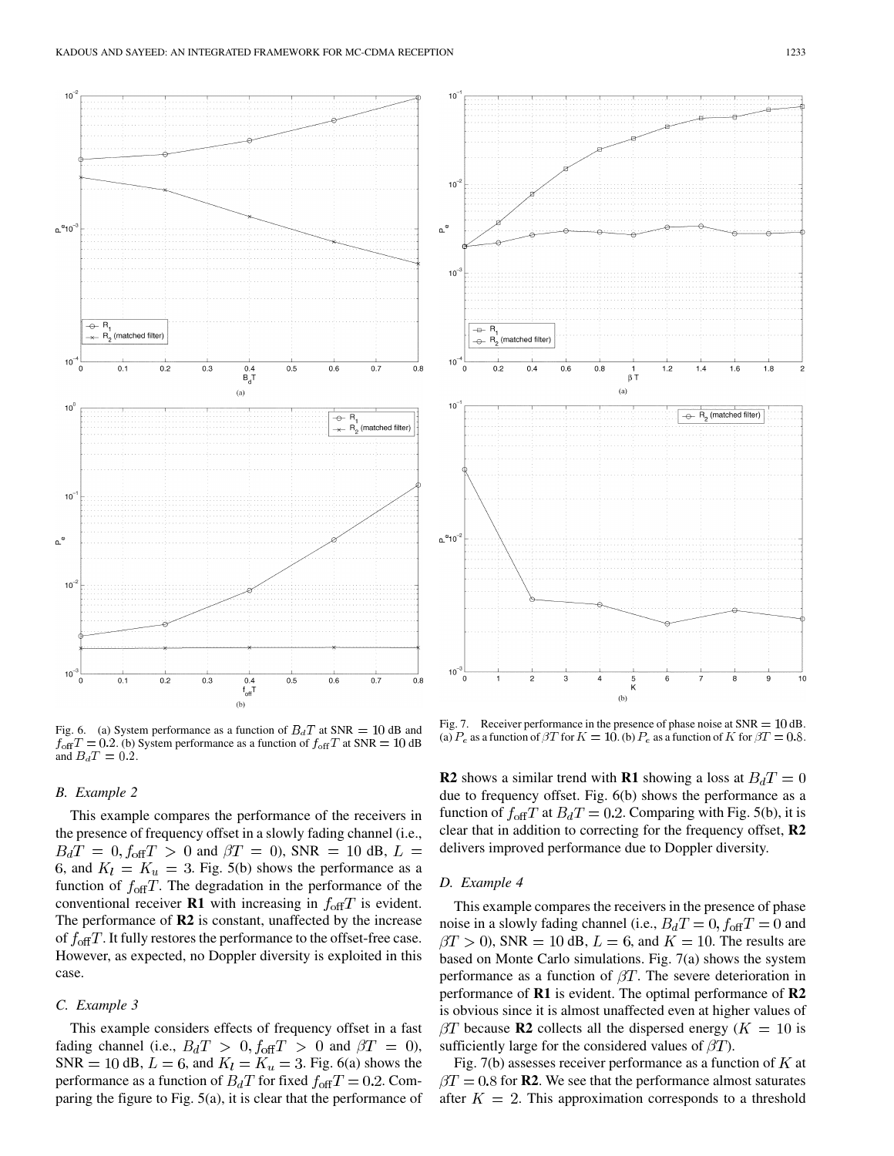

Fig. 6. (a) System performance as a function of  $B_dT$  at SNR = 10 dB and  $f_{\text{off}}T = 0.2$ . (b) System performance as a function of  $f_{\text{off}}T$  at SNR = 10 dB and  $B_dT = 0.2$ .

#### *B. Example 2*

This example compares the performance of the receivers in the presence of frequency offset in a slowly fading channel (i.e.,  $B_dT = 0, f_{\text{off}}T > 0$  and  $\beta T = 0$ ), SNR = 10 dB,  $L =$ 6, and  $K_l = K_u = 3$ . Fig. 5(b) shows the performance as a function of  $f_{\text{off}}T$ . The degradation in the performance of the conventional receiver **R1** with increasing in  $f_{\text{off}}T$  is evident. The performance of **R2** is constant, unaffected by the increase of  $f_{\text{off}}T$ . It fully restores the performance to the offset-free case. However, as expected, no Doppler diversity is exploited in this case.

#### *C. Example 3*

This example considers effects of frequency offset in a fast fading channel (i.e.,  $B_dT > 0$ ,  $f_{\text{off}}T > 0$  and  $\beta T = 0$ ), SNR = 10 dB,  $L = 6$ , and  $K_l = K_u = 3$ . Fig. 6(a) shows the performance as a function of  $B_dT$  for fixed  $f_{\text{off}}T = 0.2$ . Comparing the figure to Fig. 5(a), it is clear that the performance of

Fig. 7. Receiver performance in the presence of phase noise at  $SNR = 10$  dB. (a)  $P_e$  as a function of  $\beta T$  for  $K = 10$ . (b)  $P_e$  as a function of K for  $\beta T = 0.8$ .

 $(b)$ 

 $\frac{5}{K}$ 

**R2** shows a similar trend with **R1** showing a loss at  $B_dT = 0$ due to frequency offset. Fig. 6(b) shows the performance as a function of  $f_{\text{off}}T$  at  $B_dT = 0.2$ . Comparing with Fig. 5(b), it is clear that in addition to correcting for the frequency offset, **R2** delivers improved performance due to Doppler diversity.

# *D. Example 4*

 $10<sup>7</sup>$ 

 $10$ 

 $10$ 

 $10$ 

 $10$ 

 $10$ 

 $\rightarrow$ 

 $\overline{B}_{2}$  R<sub>2</sub> (matched filter)

 $0.4$ 

 $0.8$ 

 $\frac{1}{\beta}$ 

 $(a)$ 

 $12$ 

 $1.4$ 

 $1.6$ 

 $R_2$  (matched filter)

1.8

 $0.6$ 

 $0.2$ 

This example compares the receivers in the presence of phase noise in a slowly fading channel (i.e.,  $B_dT = 0$ ,  $f_{\text{off}}T = 0$  and  $\beta T > 0$ ), SNR = 10 dB,  $L = 6$ , and  $K = 10$ . The results are based on Monte Carlo simulations. Fig. 7(a) shows the system performance as a function of  $\beta T$ . The severe deterioration in performance of **R1** is evident. The optimal performance of **R2** is obvious since it is almost unaffected even at higher values of  $\beta T$  because **R2** collects all the dispersed energy ( $K = 10$  is sufficiently large for the considered values of  $\beta T$ ).

Fig. 7(b) assesses receiver performance as a function of  $K$  at  $\beta T = 0.8$  for **R2**. We see that the performance almost saturates after  $K = 2$ . This approximation corresponds to a threshold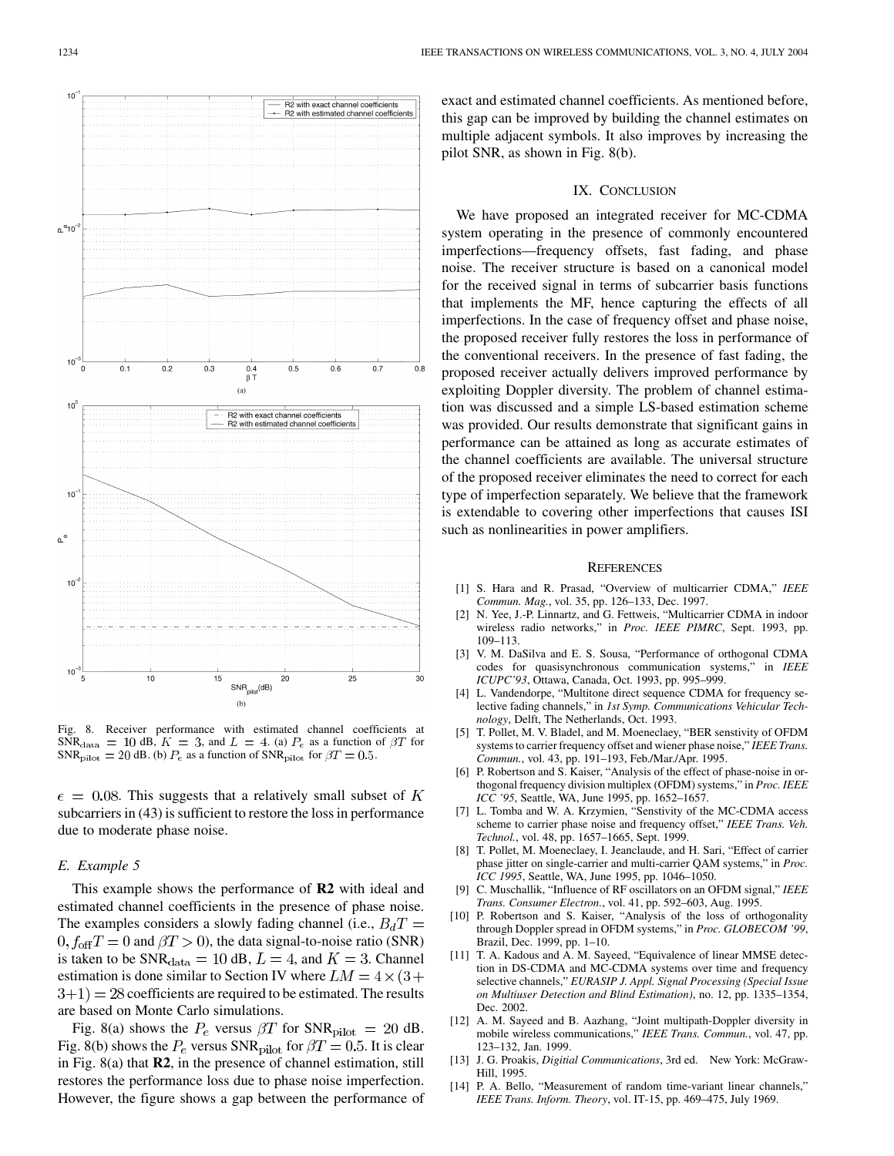<span id="page-10-0"></span>

Fig. 8. Receiver performance with estimated channel coefficients at SNR<sub>data</sub> = 10 dB,  $K = 3$ , and  $L = 4$ . (a)  $P_e$  as a function of  $\beta T$  for SNR  $_{\text{pilot}}$  = 20 dB. (b)  $P_e$  as a function of SNR  $_{\text{pilot}}$  for  $\beta T = 0.5$ .

 $\epsilon = 0.08$ . This suggests that a relatively small subset of K subcarriers in  $(43)$  is sufficient to restore the loss in performance due to moderate phase noise.

#### *E. Example 5*

This example shows the performance of **R2** with ideal and estimated channel coefficients in the presence of phase noise. The examples considers a slowly fading channel (i.e.,  $B_dT =$  $0, f_{\text{off}}T = 0$  and  $\beta T > 0$ ), the data signal-to-noise ratio (SNR) is taken to be  $SNR_{data} = 10$  dB,  $L = 4$ , and  $K = 3$ . Channel estimation is done similar to Section IV where  $LM = 4 \times (3+)$  $(3+1) = 28$  coefficients are required to be estimated. The results are based on Monte Carlo simulations.

Fig. 8(a) shows the  $P_e$  versus  $\beta T$  for SNR  $_{\text{pilot}} = 20$  dB. Fig. 8(b) shows the  $P_e$  versus SNR pilot for  $\beta T = 0.5$ . It is clear in Fig. 8(a) that **R2**, in the presence of channel estimation, still restores the performance loss due to phase noise imperfection. However, the figure shows a gap between the performance of exact and estimated channel coefficients. As mentioned before, this gap can be improved by building the channel estimates on multiple adjacent symbols. It also improves by increasing the pilot SNR, as shown in Fig. 8(b).

# IX. CONCLUSION

We have proposed an integrated receiver for MC-CDMA system operating in the presence of commonly encountered imperfections—frequency offsets, fast fading, and phase noise. The receiver structure is based on a canonical model for the received signal in terms of subcarrier basis functions that implements the MF, hence capturing the effects of all imperfections. In the case of frequency offset and phase noise, the proposed receiver fully restores the loss in performance of the conventional receivers. In the presence of fast fading, the proposed receiver actually delivers improved performance by exploiting Doppler diversity. The problem of channel estimation was discussed and a simple LS-based estimation scheme was provided. Our results demonstrate that significant gains in performance can be attained as long as accurate estimates of the channel coefficients are available. The universal structure of the proposed receiver eliminates the need to correct for each type of imperfection separately. We believe that the framework is extendable to covering other imperfections that causes ISI such as nonlinearities in power amplifiers.

#### **REFERENCES**

- [1] S. Hara and R. Prasad, "Overview of multicarrier CDMA," *IEEE Commun. Mag.*, vol. 35, pp. 126–133, Dec. 1997.
- [2] N. Yee, J.-P. Linnartz, and G. Fettweis, "Multicarrier CDMA in indoor wireless radio networks," in *Proc. IEEE PIMRC*, Sept. 1993, pp. 109–113.
- [3] V. M. DaSilva and E. S. Sousa, "Performance of orthogonal CDMA codes for quasisynchronous communication systems," in *IEEE ICUPC'93*, Ottawa, Canada, Oct. 1993, pp. 995–999.
- [4] L. Vandendorpe, "Multitone direct sequence CDMA for frequency selective fading channels," in *1st Symp. Communications Vehicular Technology*, Delft, The Netherlands, Oct. 1993.
- [5] T. Pollet, M. V. Bladel, and M. Moeneclaey, "BER senstivity of OFDM systems to carrier frequency offset and wiener phase noise," IEEE Trans. *Commun.*, vol. 43, pp. 191–193, Feb./Mar./Apr. 1995.
- [6] P. Robertson and S. Kaiser, "Analysis of the effect of phase-noise in orthogonal frequency division multiplex (OFDM) systems," in *Proc. IEEE ICC '95*, Seattle, WA, June 1995, pp. 1652–1657.
- [7] L. Tomba and W. A. Krzymien, "Senstivity of the MC-CDMA access scheme to carrier phase noise and frequency offset," *IEEE Trans. Veh. Technol.*, vol. 48, pp. 1657–1665, Sept. 1999.
- [8] T. Pollet, M. Moeneclaey, I. Jeanclaude, and H. Sari, "Effect of carrier phase jitter on single-carrier and multi-carrier QAM systems," in *Proc. ICC 1995*, Seattle, WA, June 1995, pp. 1046–1050.
- [9] C. Muschallik, "Influence of RF oscillators on an OFDM signal," *IEEE Trans. Consumer Electron.*, vol. 41, pp. 592–603, Aug. 1995.
- [10] P. Robertson and S. Kaiser, "Analysis of the loss of orthogonality through Doppler spread in OFDM systems," in *Proc. GLOBECOM '99*, Brazil, Dec. 1999, pp. 1–10.
- [11] T. A. Kadous and A. M. Sayeed, "Equivalence of linear MMSE detection in DS-CDMA and MC-CDMA systems over time and frequency selective channels," *EURASIP J. Appl. Signal Processing (Special Issue on Multiuser Detection and Blind Estimation)*, no. 12, pp. 1335–1354, Dec. 2002.
- [12] A. M. Sayeed and B. Aazhang, "Joint multipath-Doppler diversity in mobile wireless communications," *IEEE Trans. Commun.*, vol. 47, pp. 123–132, Jan. 1999.
- [13] J. G. Proakis, *Digitial Communications*, 3rd ed. New York: McGraw-Hill, 1995.
- [14] P. A. Bello, "Measurement of random time-variant linear channels," *IEEE Trans. Inform. Theory*, vol. IT-15, pp. 469–475, July 1969.